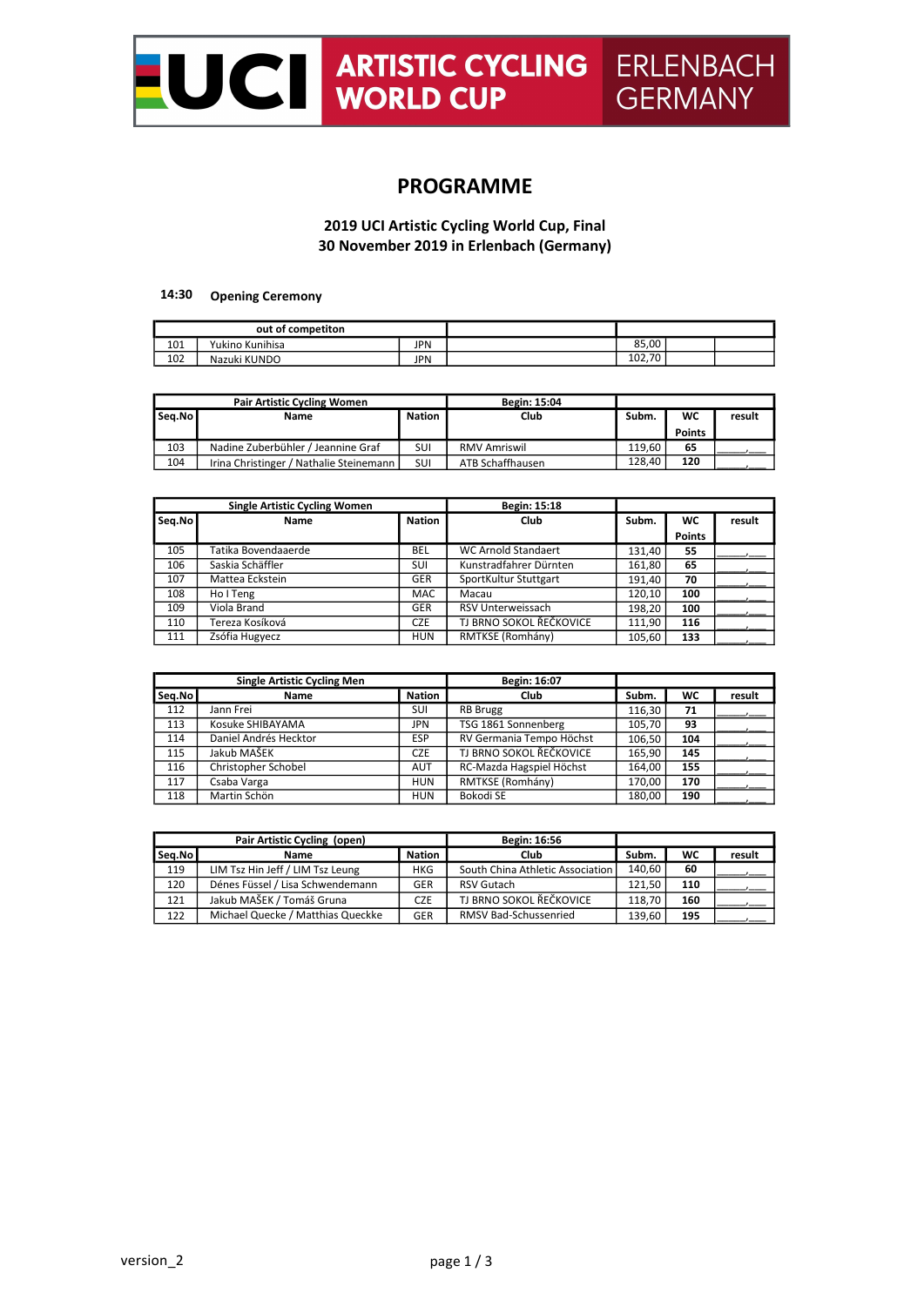

# PROGRAMME

## 2019 UCI Artistic Cycling World Cup, Final 30 November 2019 in Erlenbach (Germany)

## 14:30 Opening Ceremony

| out of competiton |                 |            |              |  |
|-------------------|-----------------|------------|--------------|--|
| 101               | Yukino Kunihisa | <b>JPN</b> | 85.00        |  |
| 102               | Nazuki KUNDO    | <b>JPN</b> | 70<br>102,70 |  |

| <b>Pair Artistic Cycling Women</b> |                                           | <b>Begin: 15:04</b> |                  |        |               |        |
|------------------------------------|-------------------------------------------|---------------------|------------------|--------|---------------|--------|
| Seg.No                             | Name                                      | <b>Nation</b>       | Club             | Subm.  | WC            | result |
|                                    |                                           |                     |                  |        | <b>Points</b> |        |
| 103                                | Nadine Zuberbühler / Jeannine Graf        | SUI                 | RMV Amriswil     | 119.60 | 65            |        |
| 104                                | Irina Christinger / Nathalie Steinemann I | SUI                 | ATB Schaffhausen | 128.40 | 120           |        |

|        | <b>Single Artistic Cycling Women</b> |               | Begin: 15:18               |        |               |        |
|--------|--------------------------------------|---------------|----------------------------|--------|---------------|--------|
| Seg.No | Name                                 | <b>Nation</b> | Club                       | Subm.  | WC            | result |
|        |                                      |               |                            |        | <b>Points</b> |        |
| 105    | Tatika Bovendaaerde                  | BEL           | <b>WC Arnold Standaert</b> | 131.40 | 55            |        |
| 106    | Saskia Schäffler                     | SUI           | Kunstradfahrer Dürnten     | 161,80 | 65            |        |
| 107    | Mattea Eckstein                      | <b>GER</b>    | SportKultur Stuttgart      | 191.40 | 70            |        |
| 108    | Ho I Teng                            | <b>MAC</b>    | Macau                      | 120.10 | 100           |        |
| 109    | Viola Brand                          | <b>GER</b>    | RSV Unterweissach          | 198.20 | 100           |        |
| 110    | Tereza Kosíková                      | <b>CZE</b>    | TJ BRNO SOKOL ŘEČKOVICE    | 111.90 | 116           |        |
| 111    | Zsófia Hugyecz                       | <b>HUN</b>    | RMTKSE (Romhány)           | 105,60 | 133           |        |

|        | <b>Single Artistic Cycling Men</b> |               | Begin: 16:07             |        |     |        |
|--------|------------------------------------|---------------|--------------------------|--------|-----|--------|
| Seg.No | Name                               | <b>Nation</b> | Club                     | Subm.  | WC  | result |
| 112    | Jann Frei                          | SUI           | <b>RB</b> Brugg          | 116.30 | 71  |        |
| 113    | Kosuke SHIBAYAMA                   | JPN           | TSG 1861 Sonnenberg      | 105,70 | 93  |        |
| 114    | Daniel Andrés Hecktor              | <b>ESP</b>    | RV Germania Tempo Höchst | 106.50 | 104 |        |
| 115    | Jakub MAŠEK                        | <b>CZE</b>    | TJ BRNO SOKOL ŘEČKOVICE  | 165,90 | 145 |        |
| 116    | Christopher Schobel                | <b>AUT</b>    | RC-Mazda Hagspiel Höchst | 164,00 | 155 |        |
| 117    | Csaba Varga                        | <b>HUN</b>    | RMTKSE (Romhány)         | 170.00 | 170 |        |
| 118    | Martin Schön                       | <b>HUN</b>    | Bokodi SE                | 180.00 | 190 |        |

| Pair Artistic Cycling (open) |                                   |            | Begin: 16:56                     |        |     |        |
|------------------------------|-----------------------------------|------------|----------------------------------|--------|-----|--------|
| Seg.No                       | <b>Name</b>                       | Nation     | <b>Club</b>                      | Subm.  | WC  | result |
| 119                          | LIM Tsz Hin Jeff / LIM Tsz Leung  | <b>HKG</b> | South China Athletic Association | 140.60 | -60 |        |
| 120                          | Dénes Füssel / Lisa Schwendemann  | GER        | <b>RSV Gutach</b>                | 121.50 | 110 |        |
| 121                          | Jakub MAŠEK / Tomáš Gruna         | <b>CZE</b> | TJ BRNO SOKOL ŘEČKOVICE          | 118.70 | 160 |        |
| 122                          | Michael Quecke / Matthias Queckke | <b>GER</b> | <b>RMSV Bad-Schussenried</b>     | 139.60 | 195 |        |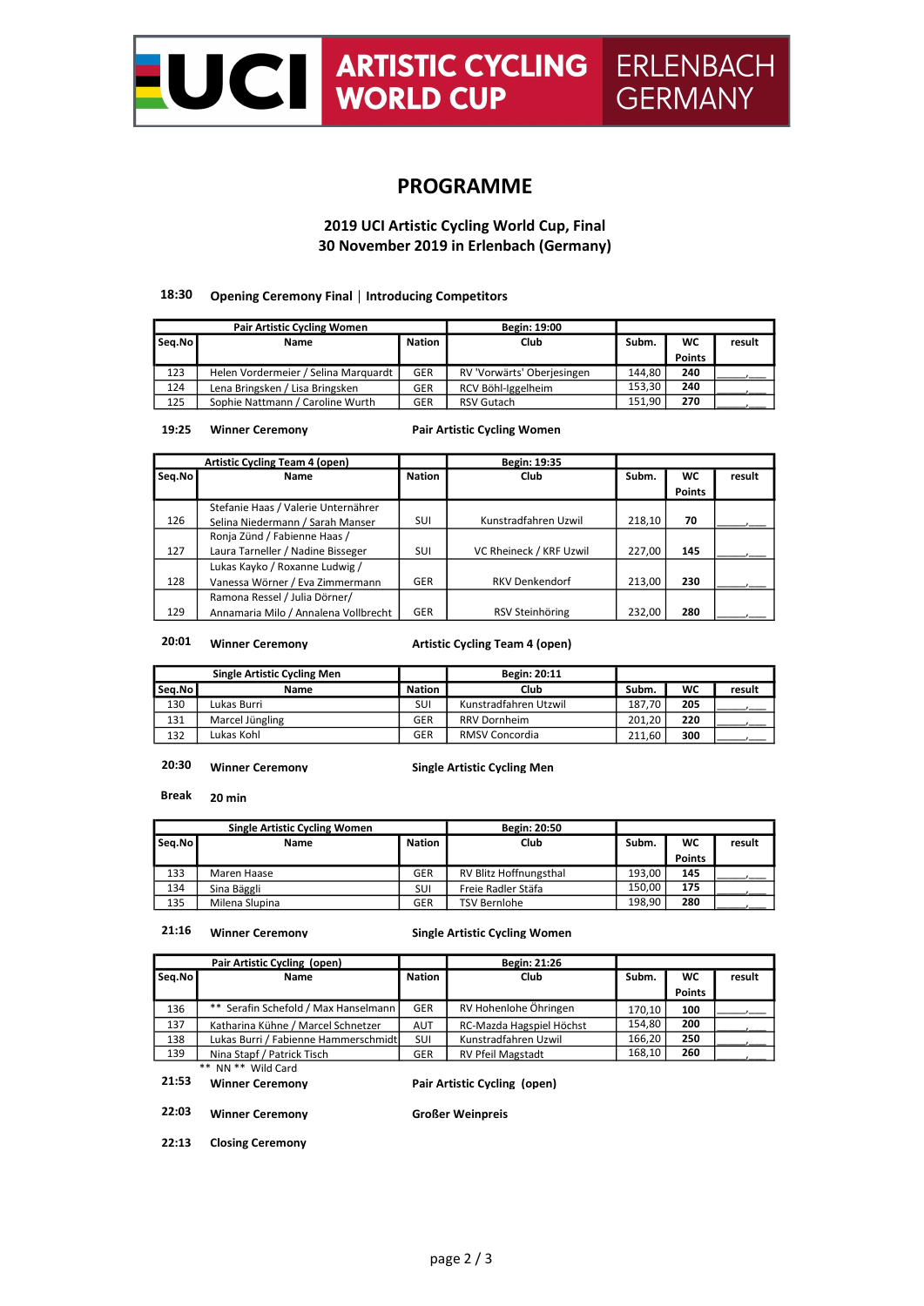

# PROGRAMME

2019 UCI Artistic Cycling World Cup, Final 30 November 2019 in Erlenbach (Germany)

## 18:30 Opening Ceremony Final | Introducing Competitors

| <b>Pair Artistic Cycling Women</b> |                                      |               | Begin: 19:00               |        |               |        |
|------------------------------------|--------------------------------------|---------------|----------------------------|--------|---------------|--------|
| Seg.No                             | Name                                 | <b>Nation</b> | Club                       | Subm.  | WC            | result |
|                                    |                                      |               |                            |        | <b>Points</b> |        |
| 123                                | Helen Vordermeier / Selina Marguardt | <b>GER</b>    | RV 'Vorwärts' Oberjesingen | 144.80 | 240           |        |
| 124                                | Lena Bringsken / Lisa Bringsken      | <b>GER</b>    | RCV Böhl-Iggelheim         | 153.30 | 240           |        |
| 125                                | Sophie Nattmann / Caroline Wurth     | <b>GER</b>    | <b>RSV Gutach</b>          | 151.90 | 270           |        |

Pair Artistic Cycling Women

## 19:25 Winner Ceremony

| <b>Artistic Cycling Team 4 (open)</b> |                                      |               | Begin: 19:35            |        |               |        |
|---------------------------------------|--------------------------------------|---------------|-------------------------|--------|---------------|--------|
| Seg.No                                | <b>Name</b>                          | <b>Nation</b> | Club                    | Subm.  | <b>WC</b>     | result |
|                                       |                                      |               |                         |        | <b>Points</b> |        |
|                                       | Stefanie Haas / Valerie Unternährer  |               |                         |        |               |        |
| 126                                   | Selina Niedermann / Sarah Manser     | SUI           | Kunstradfahren Uzwil    | 218.10 | 70            |        |
|                                       | Ronja Zünd / Fabienne Haas /         |               |                         |        |               |        |
| 127                                   | Laura Tarneller / Nadine Bisseger    | SUI           | VC Rheineck / KRF Uzwil | 227,00 | 145           |        |
|                                       | Lukas Kayko / Roxanne Ludwig /       |               |                         |        |               |        |
| 128                                   | Vanessa Wörner / Eva Zimmermann      | <b>GER</b>    | <b>RKV Denkendorf</b>   | 213,00 | 230           |        |
|                                       | Ramona Ressel / Julia Dörner/        |               |                         |        |               |        |
| 129                                   | Annamaria Milo / Annalena Vollbrecht | <b>GER</b>    | RSV Steinhöring         | 232.00 | 280           |        |

# 20:01 Winner Ceremony

Artistic Cycling Team 4 (open)

|        | <b>Single Artistic Cycling Men</b> |               | Begin: 20:11          |        |     |        |
|--------|------------------------------------|---------------|-----------------------|--------|-----|--------|
| Seg.No | <b>Name</b>                        | <b>Nation</b> | <b>Club</b>           | Subm.  | WC  | result |
| 130    | Lukas Burri                        | SUI           | Kunstradfahren Utzwil | 187.70 | 205 |        |
| 131    | Marcel Jüngling                    | <b>GER</b>    | <b>RRV Dornheim</b>   | 201.20 | 220 |        |
| 132    | Lukas Kohl                         | <b>GER</b>    | <b>RMSV Concordia</b> | 211.60 | 300 |        |

#### 20:30 Winner Ceremony

Single Artistic Cycling Men

Break 20 min

| <b>Single Artistic Cycling Women</b> |                |               | <b>Begin: 20:50</b>    |        |               |        |
|--------------------------------------|----------------|---------------|------------------------|--------|---------------|--------|
| Seg.No                               | Name           | <b>Nation</b> | Club                   | Subm.  | WC            | result |
|                                      |                |               |                        |        | <b>Points</b> |        |
| 133                                  | Maren Haase    | <b>GER</b>    | RV Blitz Hoffnungsthal | 193.00 | 145           |        |
| 134                                  | Sina Bäggli    | SUI           | Freie Radler Stäfa     | 150.00 | 175           |        |
| 135                                  | Milena Slupina | <b>GER</b>    | <b>TSV Bernlohe</b>    | 198.90 | 280           |        |

## 21:16 Winner Ceremony

## Single Artistic Cycling Women

| Pair Artistic Cycling (open) |                                      |               | Begin: 21:26             |        |               |        |
|------------------------------|--------------------------------------|---------------|--------------------------|--------|---------------|--------|
| Seq.No                       | Name                                 | <b>Nation</b> | Club                     |        | <b>WC</b>     | result |
|                              |                                      |               |                          |        | <b>Points</b> |        |
| 136                          | ** Serafin Schefold / Max Hanselmann | GER           | RV Hohenlohe Öhringen    | 170.10 | 100           |        |
| 137                          | Katharina Kühne / Marcel Schnetzer   | <b>AUT</b>    | RC-Mazda Hagspiel Höchst | 154.80 | 200           |        |
| 138                          | Lukas Burri / Fabienne Hammerschmidt | <b>SUI</b>    | Kunstradfahren Uzwil     | 166.20 | 250           |        |
| 139                          | Nina Stapf / Patrick Tisch           | <b>GER</b>    | <b>RV Pfeil Magstadt</b> | 168,10 | 260           |        |
|                              | ** NN ** Wild Card                   |               |                          |        |               |        |

# 21:53 Winner Ceremony

Pair Artistic Cycling (open)

22:03 Winner Ceremony Großer Weinpreis

22:13 Closing Ceremony